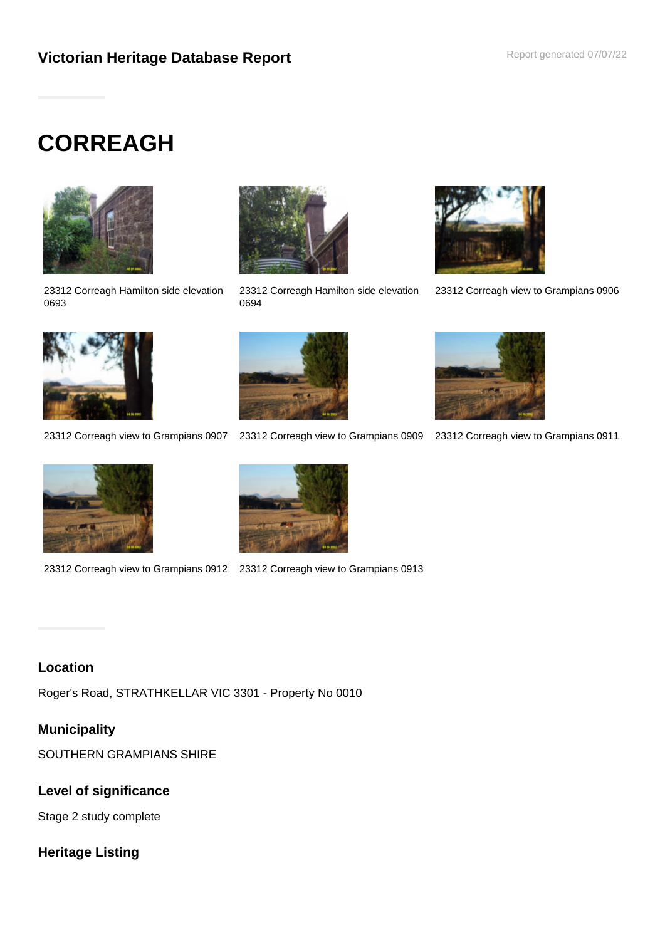# **CORREAGH**



23312 Correagh Hamilton side elevation 0693



23312 Correagh Hamilton side elevation 0694



23312 Correagh view to Grampians 0906



23312 Correagh view to Grampians 0907 23312 Correagh view to Grampians 0909 23312 Correagh view to Grampians 0911









23312 Correagh view to Grampians 0912 23312 Correagh view to Grampians 0913

## **Location**

Roger's Road, STRATHKELLAR VIC 3301 - Property No 0010

# **Municipality**

SOUTHERN GRAMPIANS SHIRE

# **Level of significance**

Stage 2 study complete

# **Heritage Listing**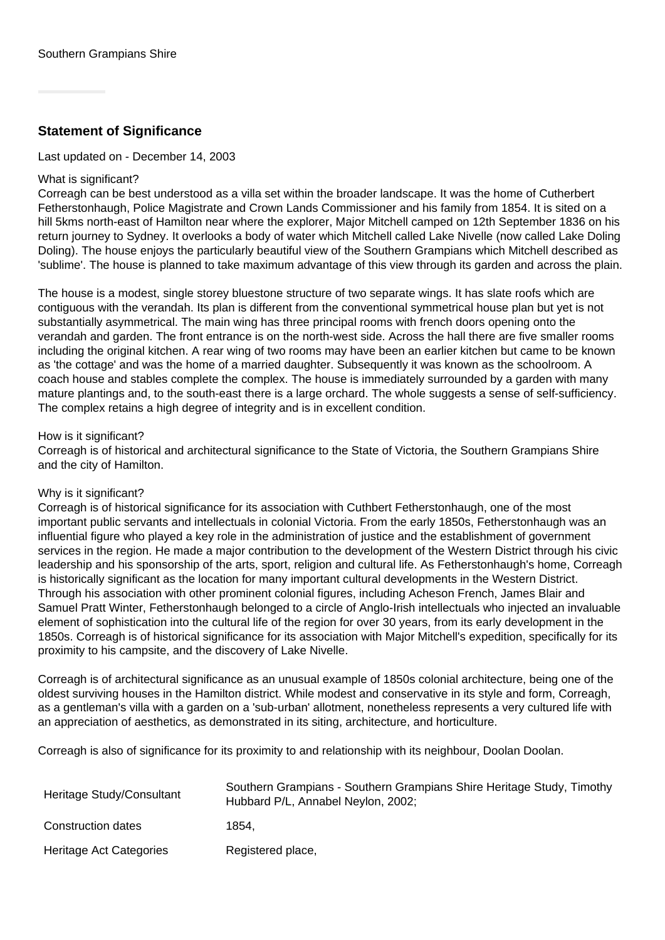## **Statement of Significance**

Last updated on - December 14, 2003

#### What is significant?

Correagh can be best understood as a villa set within the broader landscape. It was the home of Cutherbert Fetherstonhaugh, Police Magistrate and Crown Lands Commissioner and his family from 1854. It is sited on a hill 5kms north-east of Hamilton near where the explorer, Major Mitchell camped on 12th September 1836 on his return journey to Sydney. It overlooks a body of water which Mitchell called Lake Nivelle (now called Lake Doling Doling). The house enjoys the particularly beautiful view of the Southern Grampians which Mitchell described as 'sublime'. The house is planned to take maximum advantage of this view through its garden and across the plain.

The house is a modest, single storey bluestone structure of two separate wings. It has slate roofs which are contiguous with the verandah. Its plan is different from the conventional symmetrical house plan but yet is not substantially asymmetrical. The main wing has three principal rooms with french doors opening onto the verandah and garden. The front entrance is on the north-west side. Across the hall there are five smaller rooms including the original kitchen. A rear wing of two rooms may have been an earlier kitchen but came to be known as 'the cottage' and was the home of a married daughter. Subsequently it was known as the schoolroom. A coach house and stables complete the complex. The house is immediately surrounded by a garden with many mature plantings and, to the south-east there is a large orchard. The whole suggests a sense of self-sufficiency. The complex retains a high degree of integrity and is in excellent condition.

#### How is it significant?

Correagh is of historical and architectural significance to the State of Victoria, the Southern Grampians Shire and the city of Hamilton.

#### Why is it significant?

Correagh is of historical significance for its association with Cuthbert Fetherstonhaugh, one of the most important public servants and intellectuals in colonial Victoria. From the early 1850s, Fetherstonhaugh was an influential figure who played a key role in the administration of justice and the establishment of government services in the region. He made a major contribution to the development of the Western District through his civic leadership and his sponsorship of the arts, sport, religion and cultural life. As Fetherstonhaugh's home, Correagh is historically significant as the location for many important cultural developments in the Western District. Through his association with other prominent colonial figures, including Acheson French, James Blair and Samuel Pratt Winter, Fetherstonhaugh belonged to a circle of Anglo-Irish intellectuals who injected an invaluable element of sophistication into the cultural life of the region for over 30 years, from its early development in the 1850s. Correagh is of historical significance for its association with Major Mitchell's expedition, specifically for its proximity to his campsite, and the discovery of Lake Nivelle.

Correagh is of architectural significance as an unusual example of 1850s colonial architecture, being one of the oldest surviving houses in the Hamilton district. While modest and conservative in its style and form, Correagh, as a gentleman's villa with a garden on a 'sub-urban' allotment, nonetheless represents a very cultured life with an appreciation of aesthetics, as demonstrated in its siting, architecture, and horticulture.

Correagh is also of significance for its proximity to and relationship with its neighbour, Doolan Doolan.

| Heritage Study/Consultant | Southern Grampians - Southern Grampians Shire Heritage Study, Timothy<br>Hubbard P/L, Annabel Neylon, 2002; |
|---------------------------|-------------------------------------------------------------------------------------------------------------|
| Construction dates        | 1854.                                                                                                       |
| Heritage Act Categories   | Registered place,                                                                                           |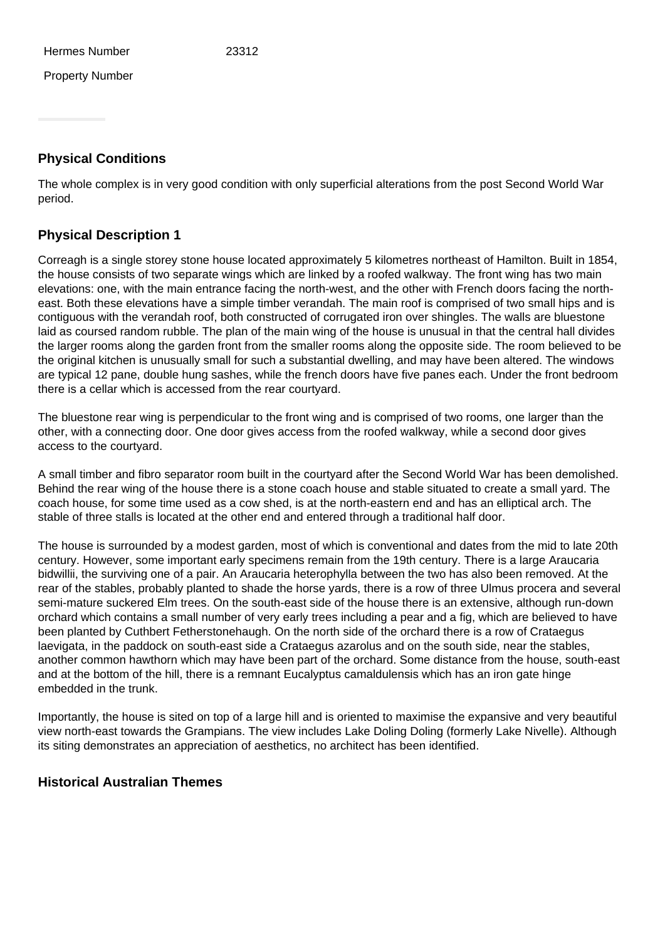Property Number

## **Physical Conditions**

The whole complex is in very good condition with only superficial alterations from the post Second World War period.

## **Physical Description 1**

Correagh is a single storey stone house located approximately 5 kilometres northeast of Hamilton. Built in 1854, the house consists of two separate wings which are linked by a roofed walkway. The front wing has two main elevations: one, with the main entrance facing the north-west, and the other with French doors facing the northeast. Both these elevations have a simple timber verandah. The main roof is comprised of two small hips and is contiguous with the verandah roof, both constructed of corrugated iron over shingles. The walls are bluestone laid as coursed random rubble. The plan of the main wing of the house is unusual in that the central hall divides the larger rooms along the garden front from the smaller rooms along the opposite side. The room believed to be the original kitchen is unusually small for such a substantial dwelling, and may have been altered. The windows are typical 12 pane, double hung sashes, while the french doors have five panes each. Under the front bedroom there is a cellar which is accessed from the rear courtyard.

The bluestone rear wing is perpendicular to the front wing and is comprised of two rooms, one larger than the other, with a connecting door. One door gives access from the roofed walkway, while a second door gives access to the courtyard.

A small timber and fibro separator room built in the courtyard after the Second World War has been demolished. Behind the rear wing of the house there is a stone coach house and stable situated to create a small yard. The coach house, for some time used as a cow shed, is at the north-eastern end and has an elliptical arch. The stable of three stalls is located at the other end and entered through a traditional half door.

The house is surrounded by a modest garden, most of which is conventional and dates from the mid to late 20th century. However, some important early specimens remain from the 19th century. There is a large Araucaria bidwillii, the surviving one of a pair. An Araucaria heterophylla between the two has also been removed. At the rear of the stables, probably planted to shade the horse yards, there is a row of three Ulmus procera and several semi-mature suckered Elm trees. On the south-east side of the house there is an extensive, although run-down orchard which contains a small number of very early trees including a pear and a fig, which are believed to have been planted by Cuthbert Fetherstonehaugh. On the north side of the orchard there is a row of Crataegus laevigata, in the paddock on south-east side a Crataegus azarolus and on the south side, near the stables, another common hawthorn which may have been part of the orchard. Some distance from the house, south-east and at the bottom of the hill, there is a remnant Eucalyptus camaldulensis which has an iron gate hinge embedded in the trunk.

Importantly, the house is sited on top of a large hill and is oriented to maximise the expansive and very beautiful view north-east towards the Grampians. The view includes Lake Doling Doling (formerly Lake Nivelle). Although its siting demonstrates an appreciation of aesthetics, no architect has been identified.

## **Historical Australian Themes**